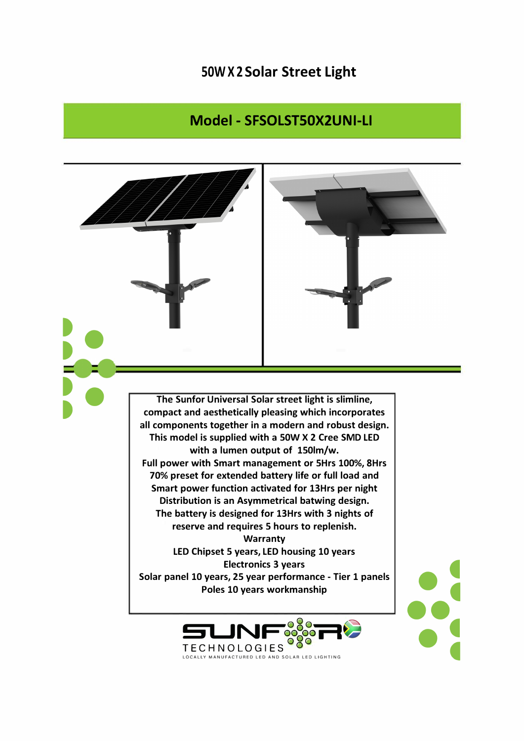## **50W X 2 Solar Street Light**

## **Model - SFSOLSTS0X2UNI-LI**